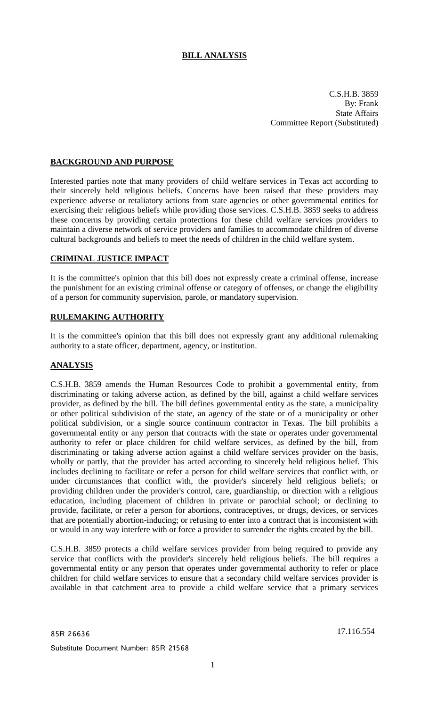# **BILL ANALYSIS**

C.S.H.B. 3859 By: Frank State Affairs Committee Report (Substituted)

# **BACKGROUND AND PURPOSE**

Interested parties note that many providers of child welfare services in Texas act according to their sincerely held religious beliefs. Concerns have been raised that these providers may experience adverse or retaliatory actions from state agencies or other governmental entities for exercising their religious beliefs while providing those services. C.S.H.B. 3859 seeks to address these concerns by providing certain protections for these child welfare services providers to maintain a diverse network of service providers and families to accommodate children of diverse cultural backgrounds and beliefs to meet the needs of children in the child welfare system.

## **CRIMINAL JUSTICE IMPACT**

It is the committee's opinion that this bill does not expressly create a criminal offense, increase the punishment for an existing criminal offense or category of offenses, or change the eligibility of a person for community supervision, parole, or mandatory supervision.

## **RULEMAKING AUTHORITY**

It is the committee's opinion that this bill does not expressly grant any additional rulemaking authority to a state officer, department, agency, or institution.

## **ANALYSIS**

C.S.H.B. 3859 amends the Human Resources Code to prohibit a governmental entity, from discriminating or taking adverse action, as defined by the bill, against a child welfare services provider, as defined by the bill. The bill defines governmental entity as the state, a municipality or other political subdivision of the state, an agency of the state or of a municipality or other political subdivision, or a single source continuum contractor in Texas. The bill prohibits a governmental entity or any person that contracts with the state or operates under governmental authority to refer or place children for child welfare services, as defined by the bill, from discriminating or taking adverse action against a child welfare services provider on the basis, wholly or partly, that the provider has acted according to sincerely held religious belief. This includes declining to facilitate or refer a person for child welfare services that conflict with, or under circumstances that conflict with, the provider's sincerely held religious beliefs; or providing children under the provider's control, care, guardianship, or direction with a religious education, including placement of children in private or parochial school; or declining to provide, facilitate, or refer a person for abortions, contraceptives, or drugs, devices, or services that are potentially abortion-inducing; or refusing to enter into a contract that is inconsistent with or would in any way interfere with or force a provider to surrender the rights created by the bill.

C.S.H.B. 3859 protects a child welfare services provider from being required to provide any service that conflicts with the provider's sincerely held religious beliefs. The bill requires a governmental entity or any person that operates under governmental authority to refer or place children for child welfare services to ensure that a secondary child welfare services provider is available in that catchment area to provide a child welfare service that a primary services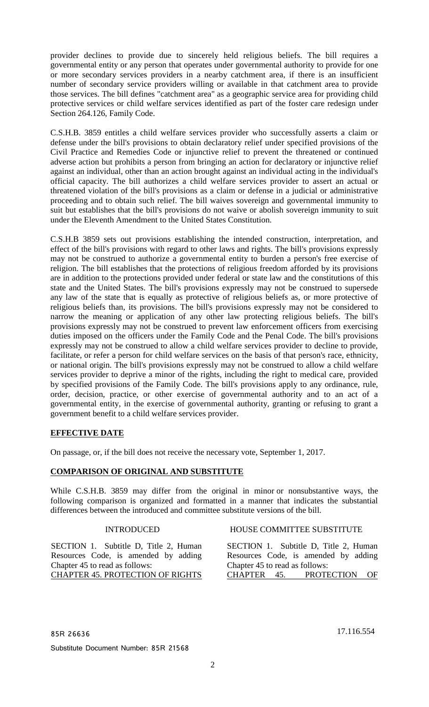provider declines to provide due to sincerely held religious beliefs. The bill requires a governmental entity or any person that operates under governmental authority to provide for one or more secondary services providers in a nearby catchment area, if there is an insufficient number of secondary service providers willing or available in that catchment area to provide those services. The bill defines "catchment area" as a geographic service area for providing child protective services or child welfare services identified as part of the foster care redesign under Section 264.126, Family Code.

C.S.H.B. 3859 entitles a child welfare services provider who successfully asserts a claim or defense under the bill's provisions to obtain declaratory relief under specified provisions of the Civil Practice and Remedies Code or injunctive relief to prevent the threatened or continued adverse action but prohibits a person from bringing an action for declaratory or injunctive relief against an individual, other than an action brought against an individual acting in the individual's official capacity. The bill authorizes a child welfare services provider to assert an actual or threatened violation of the bill's provisions as a claim or defense in a judicial or administrative proceeding and to obtain such relief. The bill waives sovereign and governmental immunity to suit but establishes that the bill's provisions do not waive or abolish sovereign immunity to suit under the Eleventh Amendment to the United States Constitution.

C.S.H.B 3859 sets out provisions establishing the intended construction, interpretation, and effect of the bill's provisions with regard to other laws and rights. The bill's provisions expressly may not be construed to authorize a governmental entity to burden a person's free exercise of religion. The bill establishes that the protections of religious freedom afforded by its provisions are in addition to the protections provided under federal or state law and the constitutions of this state and the United States. The bill's provisions expressly may not be construed to supersede any law of the state that is equally as protective of religious beliefs as, or more protective of religious beliefs than, its provisions. The bill's provisions expressly may not be considered to narrow the meaning or application of any other law protecting religious beliefs. The bill's provisions expressly may not be construed to prevent law enforcement officers from exercising duties imposed on the officers under the Family Code and the Penal Code. The bill's provisions expressly may not be construed to allow a child welfare services provider to decline to provide, facilitate, or refer a person for child welfare services on the basis of that person's race, ethnicity, or national origin. The bill's provisions expressly may not be construed to allow a child welfare services provider to deprive a minor of the rights, including the right to medical care, provided by specified provisions of the Family Code. The bill's provisions apply to any ordinance, rule, order, decision, practice, or other exercise of governmental authority and to an act of a governmental entity, in the exercise of governmental authority, granting or refusing to grant a government benefit to a child welfare services provider.

## **EFFECTIVE DATE**

On passage, or, if the bill does not receive the necessary vote, September 1, 2017.

## **COMPARISON OF ORIGINAL AND SUBSTITUTE**

While C.S.H.B. 3859 may differ from the original in minor or nonsubstantive ways, the following comparison is organized and formatted in a manner that indicates the substantial differences between the introduced and committee substitute versions of the bill.

SECTION 1. Subtitle D, Title 2, Human Resources Code, is amended by adding Chapter 45 to read as follows: CHAPTER 45. PROTECTION OF RIGHTS

#### INTRODUCED HOUSE COMMITTEE SUBSTITUTE

SECTION 1. Subtitle D, Title 2, Human Resources Code, is amended by adding Chapter 45 to read as follows: CHAPTER 45. PROTECTION OF

85R 26636 17.116.554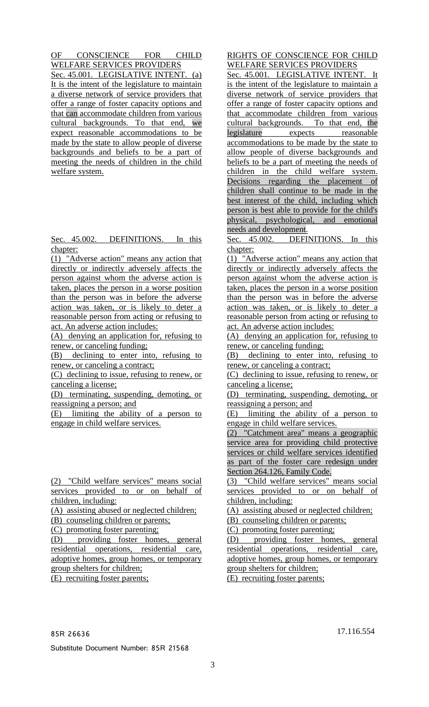OF CONSCIENCE FOR CHILD WELFARE SERVICES PROVIDERS Sec. 45.001. LEGISLATIVE INTENT. (a) It is the intent of the legislature to maintain a diverse network of service providers that offer a range of foster capacity options and that can accommodate children from various cultural backgrounds. To that end, we expect reasonable accommodations to be made by the state to allow people of diverse backgrounds and beliefs to be a part of meeting the needs of children in the child welfare system.

Sec. 45.002. DEFINITIONS. In this chapter:

(1) "Adverse action" means any action that directly or indirectly adversely affects the person against whom the adverse action is taken, places the person in a worse position than the person was in before the adverse action was taken, or is likely to deter a reasonable person from acting or refusing to act. An adverse action includes:

(A) denying an application for, refusing to renew, or canceling funding;

(B) declining to enter into, refusing to renew, or canceling a contract;

(C) declining to issue, refusing to renew, or canceling a license;

(D) terminating, suspending, demoting, or reassigning a person; and

(E) limiting the ability of a person to engage in child welfare services.

(2) "Child welfare services" means social services provided to or on behalf of children, including:

(A) assisting abused or neglected children;

(B) counseling children or parents;

(C) promoting foster parenting;

(D) providing foster homes, general residential operations, residential care, adoptive homes, group homes, or temporary group shelters for children;

(E) recruiting foster parents;

# RIGHTS OF CONSCIENCE FOR CHILD WELFARE SERVICES PROVIDERS

Sec. 45.001. LEGISLATIVE INTENT. It is the intent of the legislature to maintain a diverse network of service providers that offer a range of foster capacity options and that accommodate children from various cultural backgrounds. To that end, the legislature expects reasonable accommodations to be made by the state to allow people of diverse backgrounds and beliefs to be a part of meeting the needs of children in the child welfare system. Decisions regarding the placement of children shall continue to be made in the best interest of the child, including which person is best able to provide for the child's physical, psychological, and emotional needs and development.

Sec. 45.002. DEFINITIONS. In this chapter:

(1) "Adverse action" means any action that directly or indirectly adversely affects the person against whom the adverse action is taken, places the person in a worse position than the person was in before the adverse action was taken, or is likely to deter a reasonable person from acting or refusing to act. An adverse action includes:

(A) denying an application for, refusing to renew, or canceling funding;

(B) declining to enter into, refusing to renew, or canceling a contract;

(C) declining to issue, refusing to renew, or canceling a license;

(D) terminating, suspending, demoting, or reassigning a person; and

(E) limiting the ability of a person to engage in child welfare services.

(2) "Catchment area" means a geographic service area for providing child protective services or child welfare services identified as part of the foster care redesign under Section 264.126, Family Code.

(3) "Child welfare services" means social services provided to or on behalf of children, including:

(A) assisting abused or neglected children;

(B) counseling children or parents;

(C) promoting foster parenting;

(D) providing foster homes, general residential operations, residential care, adoptive homes, group homes, or temporary group shelters for children;

(E) recruiting foster parents;

85R 26636 17.116.554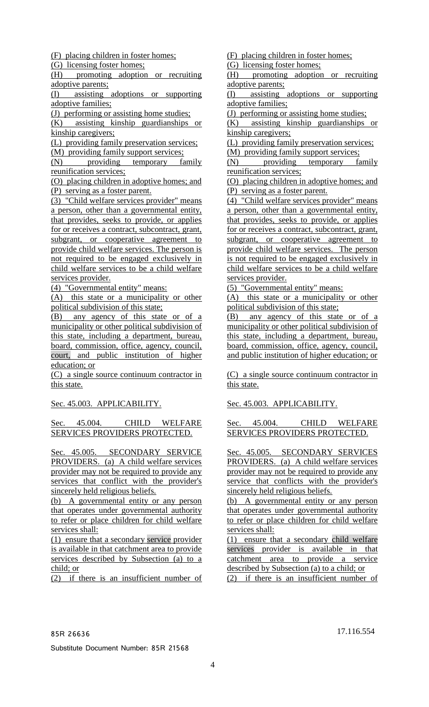(F) placing children in foster homes;

(G) licensing foster homes;

(H) promoting adoption or recruiting adoptive parents;

(I) assisting adoptions or supporting adoptive families;

(J) performing or assisting home studies;

(K) assisting kinship guardianships or kinship caregivers;

(L) providing family preservation services;

(M) providing family support services;

(N) providing temporary family reunification services;

(O) placing children in adoptive homes; and (P) serving as a foster parent.

(3) "Child welfare services provider" means a person, other than a governmental entity, that provides, seeks to provide, or applies for or receives a contract, subcontract, grant, subgrant, or cooperative agreement to provide child welfare services. The person is not required to be engaged exclusively in child welfare services to be a child welfare services provider.

(4) "Governmental entity" means:

(A) this state or a municipality or other political subdivision of this state;

(B) any agency of this state or of a municipality or other political subdivision of this state, including a department, bureau, board, commission, office, agency, council, court, and public institution of higher education; or

(C) a single source continuum contractor in this state.

Sec. 45.003. APPLICABILITY.

#### Sec. 45.004. CHILD WELFARE SERVICES PROVIDERS PROTECTED.

Sec. 45.005. SECONDARY SERVICE PROVIDERS. (a) A child welfare services provider may not be required to provide any services that conflict with the provider's sincerely held religious beliefs.

(b) A governmental entity or any person that operates under governmental authority to refer or place children for child welfare services shall:

(1) ensure that a secondary service provider is available in that catchment area to provide services described by Subsection (a) to a child; or

(2) if there is an insufficient number of

(F) placing children in foster homes;

(G) licensing foster homes;

(H) promoting adoption or recruiting adoptive parents;

(I) assisting adoptions or supporting adoptive families;

(J) performing or assisting home studies;

 $\overline{K}$  assisting kinship guardianships or kinship caregivers;

(L) providing family preservation services;

(M) providing family support services;

(N) providing temporary family reunification services;

(O) placing children in adoptive homes; and (P) serving as a foster parent.

(4) "Child welfare services provider" means a person, other than a governmental entity, that provides, seeks to provide, or applies for or receives a contract, subcontract, grant, subgrant, or cooperative agreement to provide child welfare services. The person is not required to be engaged exclusively in child welfare services to be a child welfare services provider.

(5) "Governmental entity" means:

(A) this state or a municipality or other political subdivision of this state;

(B) any agency of this state or of a municipality or other political subdivision of this state, including a department, bureau, board, commission, office, agency, council, and public institution of higher education; or

(C) a single source continuum contractor in this state.

Sec. 45.003. APPLICABILITY.

Sec. 45.004. CHILD WELFARE SERVICES PROVIDERS PROTECTED.

Sec. 45.005. SECONDARY SERVICES PROVIDERS. (a) A child welfare services provider may not be required to provide any service that conflicts with the provider's sincerely held religious beliefs.

(b) A governmental entity or any person that operates under governmental authority to refer or place children for child welfare services shall:

(1) ensure that a secondary child welfare services provider is available in that catchment area to provide a service described by Subsection (a) to a child; or

(2) if there is an insufficient number of

85R 26636 17.116.554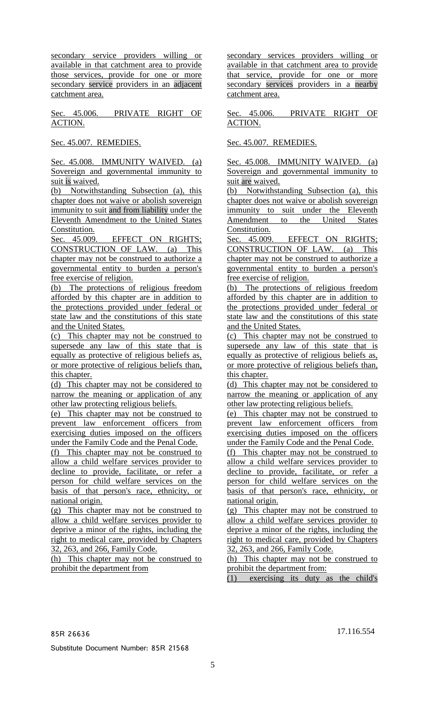secondary service providers willing or available in that catchment area to provide those services, provide for one or more secondary service providers in an adjacent catchment area.

Sec. 45.006. PRIVATE RIGHT OF ACTION.

Sec. 45.007. REMEDIES.

Sec. 45.008. IMMUNITY WAIVED. (a) Sovereign and governmental immunity to suit is waived.

(b) Notwithstanding Subsection (a), this chapter does not waive or abolish sovereign immunity to suit and from liability under the Eleventh Amendment to the United States Constitution.

Sec. 45.009. EFFECT ON RIGHTS; CONSTRUCTION OF LAW. (a) This chapter may not be construed to authorize a governmental entity to burden a person's free exercise of religion.

(b) The protections of religious freedom afforded by this chapter are in addition to the protections provided under federal or state law and the constitutions of this state and the United States.

(c) This chapter may not be construed to supersede any law of this state that is equally as protective of religious beliefs as, or more protective of religious beliefs than, this chapter.

(d) This chapter may not be considered to narrow the meaning or application of any other law protecting religious beliefs.

(e) This chapter may not be construed to prevent law enforcement officers from exercising duties imposed on the officers under the Family Code and the Penal Code.

(f) This chapter may not be construed to allow a child welfare services provider to decline to provide, facilitate, or refer a person for child welfare services on the basis of that person's race, ethnicity, or national origin.

(g) This chapter may not be construed to allow a child welfare services provider to deprive a minor of the rights, including the right to medical care, provided by Chapters 32, 263, and 266, Family Code.

(h) This chapter may not be construed to prohibit the department from

secondary services providers willing or available in that catchment area to provide that service, provide for one or more secondary services providers in a nearby catchment area.

Sec. 45.006. PRIVATE RIGHT OF ACTION.

Sec. 45.007. REMEDIES.

Sec. 45.008. IMMUNITY WAIVED. (a) Sovereign and governmental immunity to suit are waived.

(b) Notwithstanding Subsection (a), this chapter does not waive or abolish sovereign immunity to suit under the Eleventh Amendment to the United States Constitution.

Sec. 45.009. EFFECT ON RIGHTS; CONSTRUCTION OF LAW. (a) This chapter may not be construed to authorize a governmental entity to burden a person's free exercise of religion.

(b) The protections of religious freedom afforded by this chapter are in addition to the protections provided under federal or state law and the constitutions of this state and the United States.

(c) This chapter may not be construed to supersede any law of this state that is equally as protective of religious beliefs as, or more protective of religious beliefs than, this chapter.

(d) This chapter may not be considered to narrow the meaning or application of any other law protecting religious beliefs.

(e) This chapter may not be construed to prevent law enforcement officers from exercising duties imposed on the officers under the Family Code and the Penal Code.

(f) This chapter may not be construed to allow a child welfare services provider to decline to provide, facilitate, or refer a person for child welfare services on the basis of that person's race, ethnicity, or national origin.

(g) This chapter may not be construed to allow a child welfare services provider to deprive a minor of the rights, including the right to medical care, provided by Chapters 32, 263, and 266, Family Code.

(h) This chapter may not be construed to prohibit the department from:

(1) exercising its duty as the child's

85R 26636 17.116.554